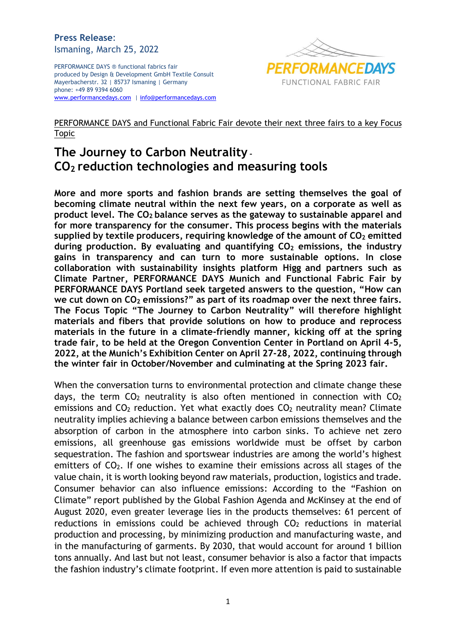## **Press Release**: Ismaning, March 25, 2022

PERFORMANCE DAYS ® functional fabrics fair produced by Design & Development GmbH Textile Consult Mayerbacherstr. 32 | 85737 Ismaning | Germany phone: +49 89 9394 6060 [www.performancedays.com](http://www.performancedays.com/) [| info@performancedays.com](mailto:info@performancedays.com)



# PERFORMANCE DAYS and Functional Fabric Fair devote their next three fairs to a key Focus Topic

# **The Journey to Carbon Neutrality - CO<sup>2</sup> reduction technologies and measuring tools**

**More and more sports and fashion brands are setting themselves the goal of becoming climate neutral within the next few years, on a corporate as well as product level. The CO<sup>2</sup> balance serves as the gateway to sustainable apparel and for more transparency for the consumer. This process begins with the materials supplied by textile producers, requiring knowledge of the amount of CO<sup>2</sup> emitted during production. By evaluating and quantifying CO<sup>2</sup> emissions, the industry gains in transparency and can turn to more sustainable options. In close collaboration with sustainability insights platform Higg and partners such as Climate Partner, PERFORMANCE DAYS Munich and Functional Fabric Fair by PERFORMANCE DAYS Portland seek targeted answers to the question, "How can we cut down on CO<sup>2</sup> emissions?" as part of its roadmap over the next three fairs. The Focus Topic "The Journey to Carbon Neutrality" will therefore highlight materials and fibers that provide solutions on how to produce and reprocess materials in the future in a climate-friendly manner, kicking off at the spring trade fair, to be held at the Oregon Convention Center in Portland on April 4-5, 2022, at the Munich's Exhibition Center on April 27-28, 2022, continuing through the winter fair in October/November and culminating at the Spring 2023 fair.**

When the conversation turns to environmental protection and climate change these days, the term  $CO<sub>2</sub>$  neutrality is also often mentioned in connection with  $CO<sub>2</sub>$ emissions and  $CO<sub>2</sub>$  reduction. Yet what exactly does  $CO<sub>2</sub>$  neutrality mean? Climate neutrality implies achieving a balance between carbon emissions themselves and the absorption of carbon in the atmosphere into carbon sinks. To achieve net zero emissions, all greenhouse gas emissions worldwide must be offset by carbon sequestration. The fashion and sportswear industries are among the world's highest emitters of  $CO<sub>2</sub>$ . If one wishes to examine their emissions across all stages of the value chain, it is worth looking beyond raw materials, production, logistics and trade. Consumer behavior can also influence emissions: According to the "Fashion on Climate" report published by the Global Fashion Agenda and McKinsey at the end of August 2020, even greater leverage lies in the products themselves: 61 percent of reductions in emissions could be achieved through  $CO<sub>2</sub>$  reductions in material production and processing, by minimizing production and manufacturing waste, and in the manufacturing of garments. By 2030, that would account for around 1 billion tons annually. And last but not least, consumer behavior is also a factor that impacts the fashion industry's climate footprint. If even more attention is paid to sustainable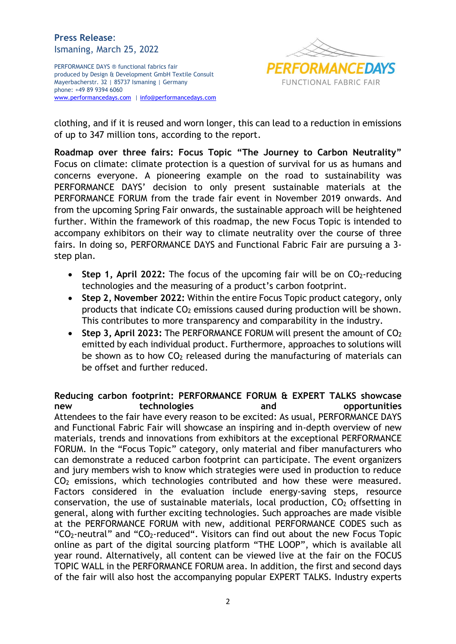## **Press Release**: Ismaning, March 25, 2022

PERFORMANCE DAYS ® functional fabrics fair produced by Design & Development GmbH Textile Consult Mayerbacherstr. 32 | 85737 Ismaning | Germany phone: +49 89 9394 6060 [www.performancedays.com](http://www.performancedays.com/) [| info@performancedays.com](mailto:info@performancedays.com)



clothing, and if it is reused and worn longer, this can lead to a reduction in emissions of up to 347 million tons, according to the report.

**Roadmap over three fairs: Focus Topic "The Journey to Carbon Neutrality"** Focus on climate: climate protection is a question of survival for us as humans and concerns everyone. A pioneering example on the road to sustainability was PERFORMANCE DAYS' decision to only present sustainable materials at the PERFORMANCE FORUM from the trade fair event in November 2019 onwards. And from the upcoming Spring Fair onwards, the sustainable approach will be heightened further. Within the framework of this roadmap, the new Focus Topic is intended to accompany exhibitors on their way to climate neutrality over the course of three fairs. In doing so, PERFORMANCE DAYS and Functional Fabric Fair are pursuing a 3 step plan.

- **Step 1, April 2022:** The focus of the upcoming fair will be on CO<sub>2</sub>-reducing technologies and the measuring of a product's carbon footprint.
- **Step 2, November 2022:** Within the entire Focus Topic product category, only products that indicate  $CO<sub>2</sub>$  emissions caused during production will be shown. This contributes to more transparency and comparability in the industry.
- **Step 3, April 2023: The PERFORMANCE FORUM will present the amount of CO<sub>2</sub>** emitted by each individual product. Furthermore, approaches to solutions will be shown as to how  $CO<sub>2</sub>$  released during the manufacturing of materials can be offset and further reduced.

**Reducing carbon footprint: PERFORMANCE FORUM & EXPERT TALKS showcase new technologies and opportunities** Attendees to the fair have every reason to be excited: As usual, PERFORMANCE DAYS and Functional Fabric Fair will showcase an inspiring and in-depth overview of new materials, trends and innovations from exhibitors at the exceptional PERFORMANCE FORUM. In the "Focus Topic" category, only material and fiber manufacturers who can demonstrate a reduced carbon footprint can participate. The event organizers and jury members wish to know which strategies were used in production to reduce  $CO<sub>2</sub>$  emissions, which technologies contributed and how these were measured. Factors considered in the evaluation include energy-saving steps, resource conservation, the use of sustainable materials, local production,  $CO<sub>2</sub>$  offsetting in general, along with further exciting technologies. Such approaches are made visible at the PERFORMANCE FORUM with new, additional PERFORMANCE CODES such as "CO<sub>2</sub>-neutral" and "CO<sub>2</sub>-reduced". Visitors can find out about the new Focus Topic online as part of the digital sourcing platform "THE LOOP", which is available all year round. Alternatively, all content can be viewed live at the fair on the FOCUS TOPIC WALL in the PERFORMANCE FORUM area. In addition, the first and second days of the fair will also host the accompanying popular EXPERT TALKS. Industry experts